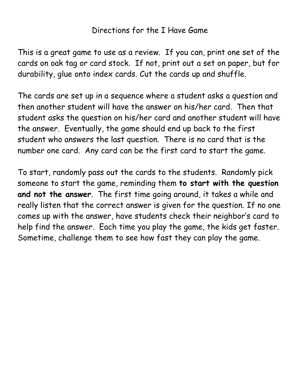## Directions for the I Have Game

This is a great game to use as a review. If you can, print one set of the cards on oak tag or card stock. If not, print out a set on paper, but for durability, glue onto index cards. Cut the cards up and shuffle.

The cards are set up in a sequence where a student asks a question and then another student will have the answer on his/her card. Then that student asks the question on his/her card and another student will have the answer. Eventually, the game should end up back to the first student who answers the last question. There is no card that is the number one card. Any card can be the first card to start the game.

To start, randomly pass out the cards to the students. Randomly pick someone to start the game, reminding them **to start with the question and not the answer**. The first time going around, it takes a while and really listen that the correct answer is given for the question. If no one comes up with the answer, have students check their neighbor's card to help find the answer. Each time you play the game, the kids get faster. Sometime, challenge them to see how fast they can play the game.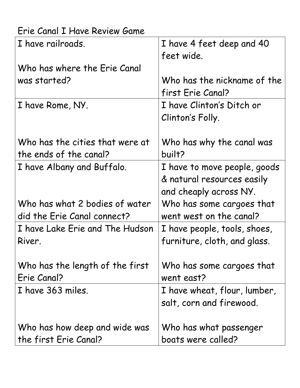| Erie Canal I Have Review Game   |                              |
|---------------------------------|------------------------------|
| I have railroads.               | I have 4 feet deep and 40    |
|                                 | feet wide.                   |
| Who has where the Erie Canal    |                              |
| was started?                    | Who has the nickname of the  |
|                                 | first Erie Canal?            |
| I have Rome, NY.                | I have Clinton's Ditch or    |
|                                 | Clinton's Folly.             |
|                                 |                              |
| Who has the cities that were at | Who has why the canal was    |
| the ends of the canal?          | built?                       |
| I have Albany and Buffalo.      | I have to move people, goods |
|                                 | & natural resources easily   |
|                                 | and cheaply across NY.       |
| Who has what 2 bodies of water  | Who has some cargoes that    |
| did the Erie Canal connect?     | went west on the canal?      |
| I have Lake Erie and The Hudson | I have people, tools, shoes, |
| River.                          | furniture, cloth, and glass. |
|                                 |                              |
| Who has the length of the first | Who has some cargoes that    |
| Erie Canal?                     | went east?                   |
| I have 363 miles.               | I have wheat, flour, lumber, |
|                                 | salt, corn and firewood.     |
|                                 |                              |
| Who has how deep and wide was   | Who has what passenger       |
| the first Erie Canal?           | boats were called?           |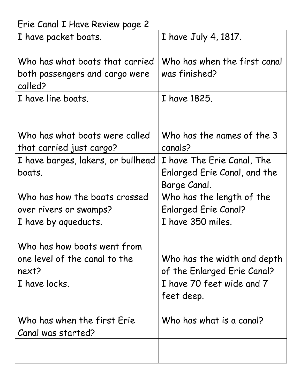| Erie Canal I Have Review page 2    |                              |  |
|------------------------------------|------------------------------|--|
| I have packet boats.               | I have July 4, 1817.         |  |
|                                    |                              |  |
| Who has what boats that carried    | Who has when the first canal |  |
| both passengers and cargo were     | was finished?                |  |
| called?                            |                              |  |
| I have line boats.                 | I have 1825.                 |  |
|                                    |                              |  |
|                                    |                              |  |
| Who has what boats were called     | Who has the names of the 3   |  |
| that carried just cargo?           | canals?                      |  |
| I have barges, lakers, or bullhead | I have The Erie Canal, The   |  |
| boats.                             | Enlarged Erie Canal, and the |  |
|                                    | Barge Canal.                 |  |
| Who has how the boats crossed      | Who has the length of the    |  |
| over rivers or swamps?             | <b>Enlarged Erie Canal?</b>  |  |
| I have by aqueducts.               | I have 350 miles.            |  |
|                                    |                              |  |
| Who has how boats went from        |                              |  |
| one level of the canal to the      | Who has the width and depth  |  |
| next?                              | of the Enlarged Erie Canal?  |  |
| I have locks.                      | I have 70 feet wide and 7    |  |
|                                    | feet deep.                   |  |
|                                    |                              |  |
| Who has when the first Erie        | Who has what is a canal?     |  |
| Canal was started?                 |                              |  |
|                                    |                              |  |
|                                    |                              |  |